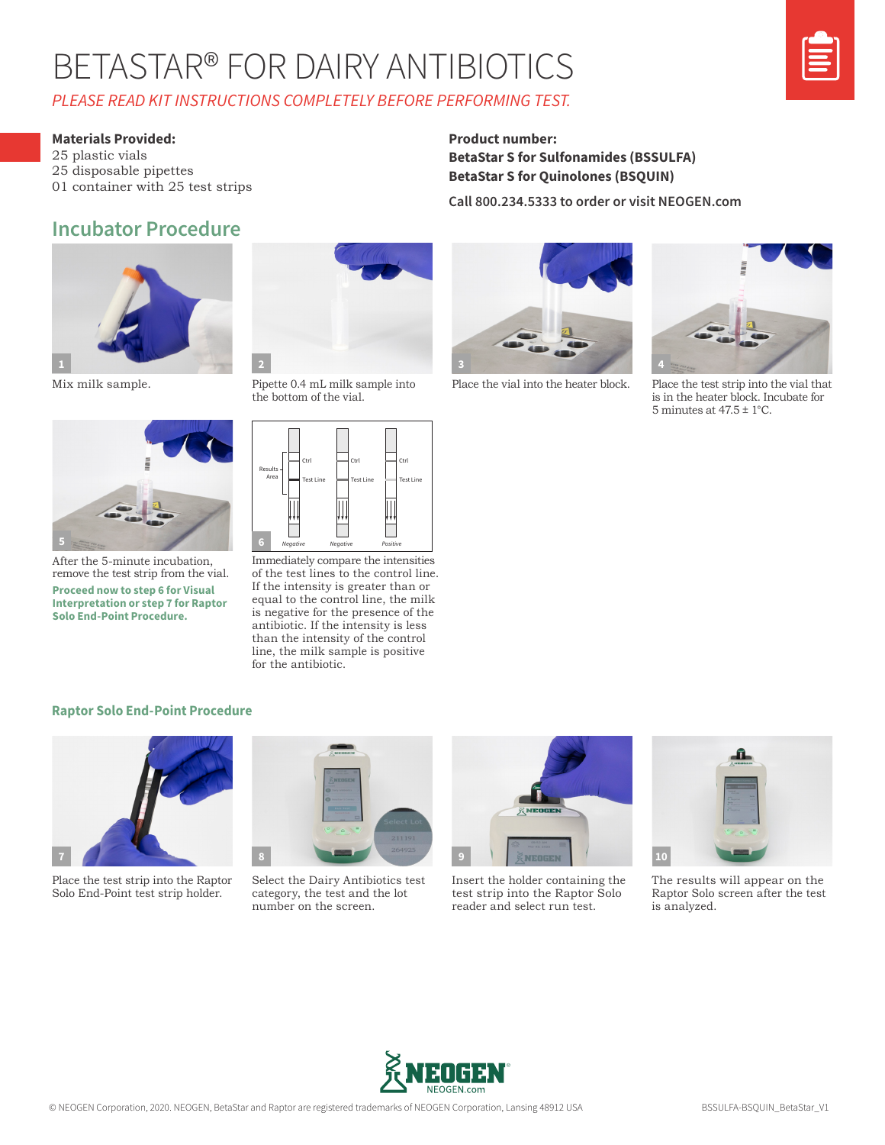## BETASTAR® FOR DAIRY ANTIBIOTICS *PLEASE READ KIT INSTRUCTIONS COMPLETELY BEFORE PERFORMING TEST.*



#### **Materials Provided:**

25 plastic vials 25 disposable pipettes 01 container with 25 test strips

### **Incubator Procedure**



Mix milk sample.



After the 5-minute incubation, remove the test strip from the vial. **Proceed now to step 6 for Visual Interpretation or step 7 for Raptor Solo End-Point Procedure.** 



Pipette 0.4 mL milk sample into the bottom of the vial.



Immediately compare the intensities of the test lines to the control line. If the intensity is greater than or equal to the control line, the milk is negative for the presence of the antibiotic. If the intensity is less than the intensity of the control line, the milk sample is positive for the antibiotic.

#### **Product number: BetaStar S for Sulfonamides (BSSULFA) BetaStar S for Quinolones (BSQUIN)**

**Call 800.234.5333 to order or visit NEOGEN.com**



Place the vial into the heater block.



Place the test strip into the vial that is in the heater block. Incubate for 5 minutes at 47.5  $\pm$  1°C.

#### **Raptor Solo End-Point Procedure**



Place the test strip into the Raptor Solo End-Point test strip holder.



Select the Dairy Antibiotics test category, the test and the lot number on the screen.



Insert the holder containing the test strip into the Raptor Solo reader and select run test.



The results will appear on the Raptor Solo screen after the test is analyzed.